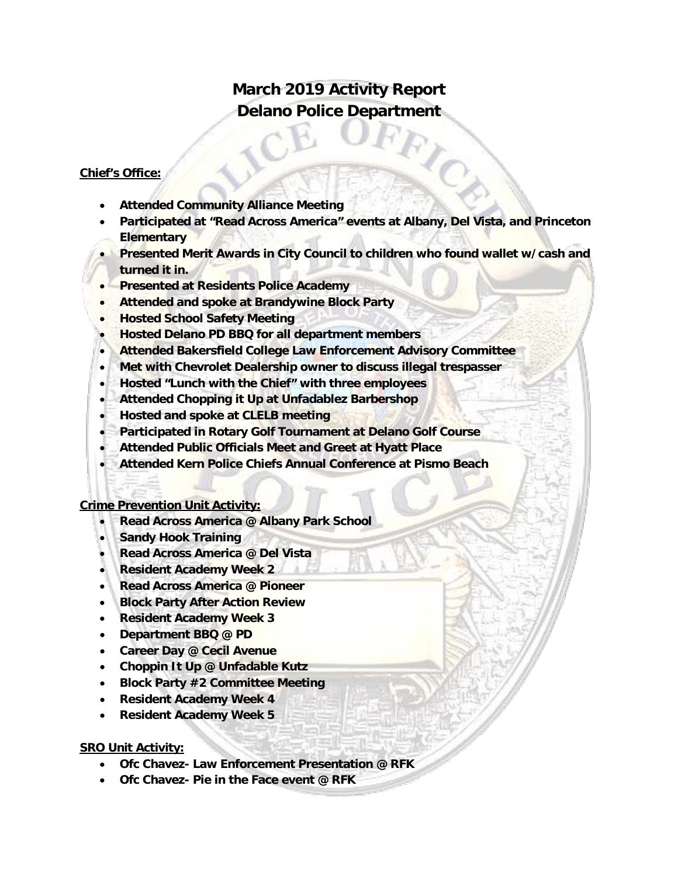# **March 2019 Activity Report Delano Police Department**

# **Chief's Office:**

- **Attended Community Alliance Meeting**
- **Participated at "Read Across America" events at Albany, Del Vista, and Princeton Elementary**
- **Presented Merit Awards in City Council to children who found wallet w/cash and turned it in.**
- **Presented at Residents Police Academy**
- **Attended and spoke at Brandywine Block Party**
- **Hosted School Safety Meeting**
- **Hosted Delano PD BBQ for all department members**
- **Attended Bakersfield College Law Enforcement Advisory Committee**
- **Met with Chevrolet Dealership owner to discuss illegal trespasser**
- **Hosted "Lunch with the Chief" with three employees**
- **Attended Chopping it Up at Unfadablez Barbershop**
- **Hosted and spoke at CLELB meeting**
- **Participated in Rotary Golf Tournament at Delano Golf Course**
- **Attended Public Officials Meet and Greet at Hyatt Place**
- **Attended Kern Police Chiefs Annual Conference at Pismo Beach**

#### **Crime Prevention Unit Activity:**

- **Read Across America @ Albany Park School**
- **Sandy Hook Training**
- **Read Across America @ Del Vista**
- **Resident Academy Week 2**
- **Read Across America @ Pioneer**
- **Block Party After Action Review**
- **Resident Academy Week 3**
- **Department BBQ @ PD**
- **Career Day @ Cecil Avenue**
- **Choppin It Up @ Unfadable Kutz**
- **Block Party #2 Committee Meeting**
- **Resident Academy Week 4**
- **Resident Academy Week 5**

## **SRO Unit Activity:**

- **Ofc Chavez- Law Enforcement Presentation @ RFK**
- **Ofc Chavez- Pie in the Face event @ RFK**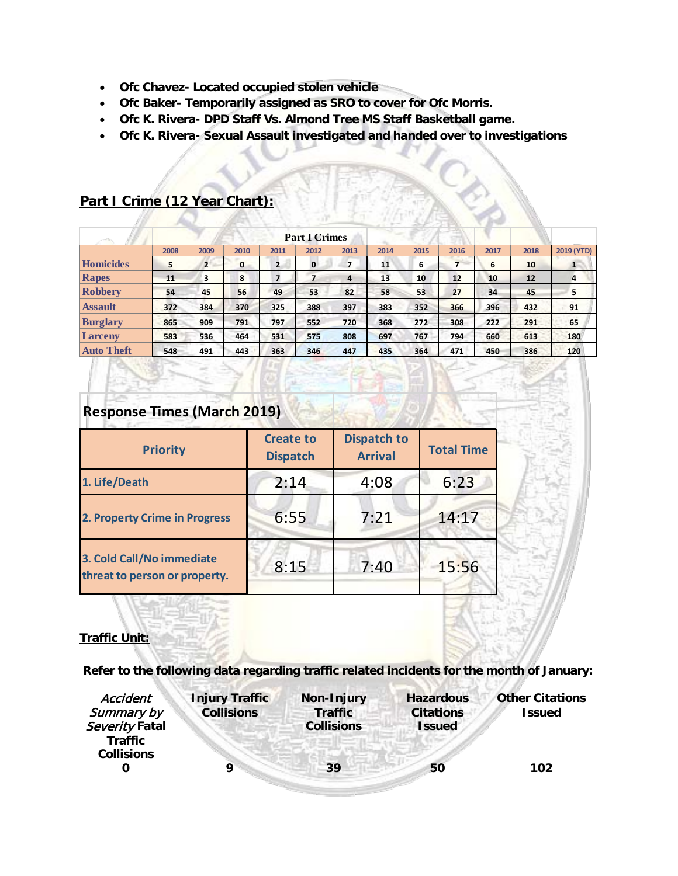- **Ofc Chavez- Located occupied stolen vehicle**
- **Ofc Baker- Temporarily assigned as SRO to cover for Ofc Morris.**
- **Ofc K. Rivera- DPD Staff Vs. Almond Tree MS Staff Basketball game.**
- **Ofc K. Rivera- Sexual Assault investigated and handed over to investigations**

| 1,750             |      | <b>Part I Crimes</b> |      |                |             |      |      |      |      |      |      |            |
|-------------------|------|----------------------|------|----------------|-------------|------|------|------|------|------|------|------------|
|                   | 2008 | 2009                 | 2010 | 2011           | 2012        | 2013 | 2014 | 2015 | 2016 | 2017 | 2018 | 2019 (YTD) |
| Homicides         | 5    | 2                    | 0    | $\overline{2}$ | $\mathbf 0$ | 7    | 11   | 6    |      | 6    | 10   | п.         |
| Rapes             | 11   | з                    | 8    | 7              |             | 4    | 13   | 10   | 12   | 10   | 12   | 4          |
| Robbery           | 54   | 45                   | 56   | 49             | 53          | 82   | 58   | 53   | 27   | 34   | 45   | 5          |
| <b>Assault</b>    | 372  | 384                  | 370  | 325            | 388         | 397  | 383  | 352  | 366  | 396  | 432  | 91         |
| <b>Burglary</b>   | 865  | 909                  | 791  | 797            | 552         | 720  | 368  | 272  | 308  | 222  | 291  | 65         |
| <b>Larceny</b>    | 583  | 536                  | 464  | 531            | 575         | 808  | 697  | 767  | 794  | 660  | 613  | 180        |
| <b>Auto Theft</b> | 548  | 491                  | 443  | 363            | 346         | 447  | 435  | 364  | 471  | 450  | 386  | 120        |

# **Part I Crime (12 Year Chart):**

| <b>Response Times (March 2019)</b>                         |                                     |                                      |                   |  |  |  |  |
|------------------------------------------------------------|-------------------------------------|--------------------------------------|-------------------|--|--|--|--|
| <b>Priority</b>                                            | <b>Create to</b><br><b>Dispatch</b> | <b>Dispatch to</b><br><b>Arrival</b> | <b>Total Time</b> |  |  |  |  |
| 1. Life/Death                                              | 2:14                                | 4:08                                 | 6:23              |  |  |  |  |
| 2. Property Crime in Progress                              | 6:55                                | 7:21                                 | 14:17             |  |  |  |  |
| 3. Cold Call/No immediate<br>threat to person or property. | 8:15                                | 7:40                                 | 15:56             |  |  |  |  |

## **Traffic Unit:**

**Refer to the following data regarding traffic related incidents for the month of January:** 

30.

| Accident<br>Summary by<br>Severity Fatal | <b>Injury Traffic</b><br><b>Collisions</b> | <b>Non-Injury</b><br><b>Traffic</b><br><b>Collisions</b> | <b>Hazardous</b><br><b>Citations</b><br><b>Issued</b> | <b>Other Citations</b><br><b>Issued</b> |
|------------------------------------------|--------------------------------------------|----------------------------------------------------------|-------------------------------------------------------|-----------------------------------------|
| <b>Traffic</b><br><b>Collisions</b>      |                                            | 39                                                       | 50                                                    | 102                                     |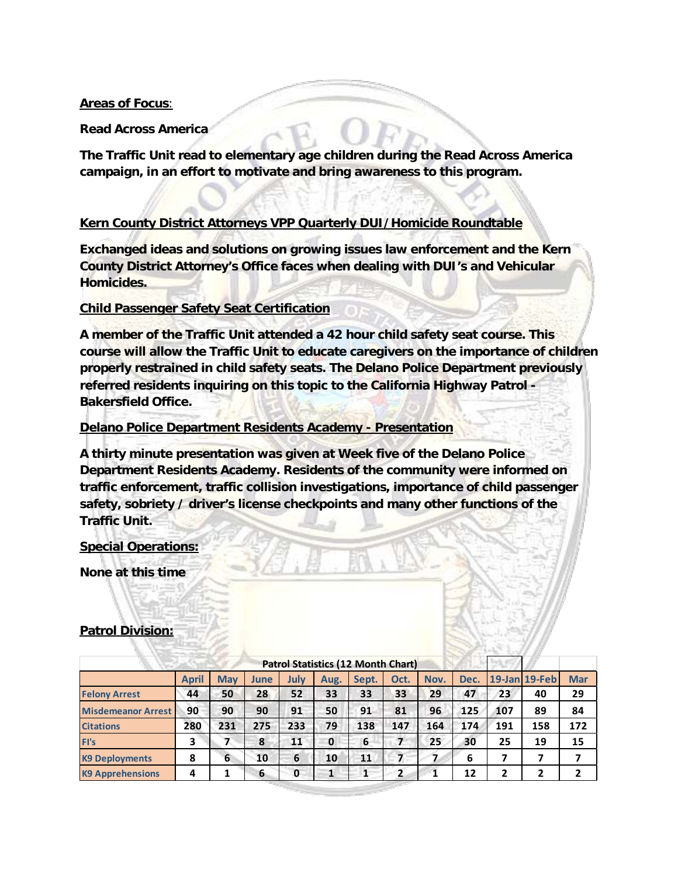# **Areas of Focus**:

**Read Across America** 

**The Traffic Unit read to elementary age children during the Read Across America campaign, in an effort to motivate and bring awareness to this program.** 

# **Kern County District Attorneys VPP Quarterly DUI/Homicide Roundtable**

**Exchanged ideas and solutions on growing issues law enforcement and the Kern County District Attorney's Office faces when dealing with DUI's and Vehicular Homicides.** 

# **Child Passenger Safety Seat Certification**

**A member of the Traffic Unit attended a 42 hour child safety seat course. This course will allow the Traffic Unit to educate caregivers on the importance of children properly restrained in child safety seats. The Delano Police Department previously referred residents inquiring on this topic to the California Highway Patrol - Bakersfield Office.** 

# **Delano Police Department Residents Academy - Presentation**

**A thirty minute presentation was given at Week five of the Delano Police Department Residents Academy. Residents of the community were informed on traffic enforcement, traffic collision investigations, importance of child passenger safety, sobriety / driver's license checkpoints and many other functions of the Traffic Unit.** 

## **Special Operations:**

**None at this time**

|                           |       |            |      |              |             | <b>Patrol Statistics (12 Month Chart)</b> |                         |      |      |     |               |            |
|---------------------------|-------|------------|------|--------------|-------------|-------------------------------------------|-------------------------|------|------|-----|---------------|------------|
|                           | April | <b>May</b> | June | July         | Aug.        | Sept.                                     | Oct.                    | Nov. | Dec. |     | 19-Jan 19-Feb | <b>Mar</b> |
| <b>Felony Arrest</b>      | 44    | 50         | 28   | 52           | 33          | 33                                        | 33                      | 29   | 47   | 23  | 40            | 29         |
| <b>Misdemeanor Arrest</b> | 90    | 90         | 90   | 91           | 50          | 91                                        | 81                      | 96   | 125  | 107 | 89            | 84         |
| <b>Citations</b>          | 280   | 231        | 275  | 233          | 79          | 138                                       | 147                     | 164  | 174  | 191 | 158           | 172        |
| FI's                      | 3     |            | 8    | 11           | $\mathbf 0$ | 6                                         | 7                       | 25   | 30   | 25  | 19            | 15         |
| <b>K9 Deployments</b>     | 8     | 6          | 10   | 6            | 10          | 11                                        | 7                       |      | 6    |     | 7             |            |
| <b>K9 Apprehensions</b>   | 4     |            | 6    | $\mathbf{0}$ |             | 1                                         | $\overline{\mathbf{2}}$ |      | 12   |     | 2             |            |

## **Patrol Division:**